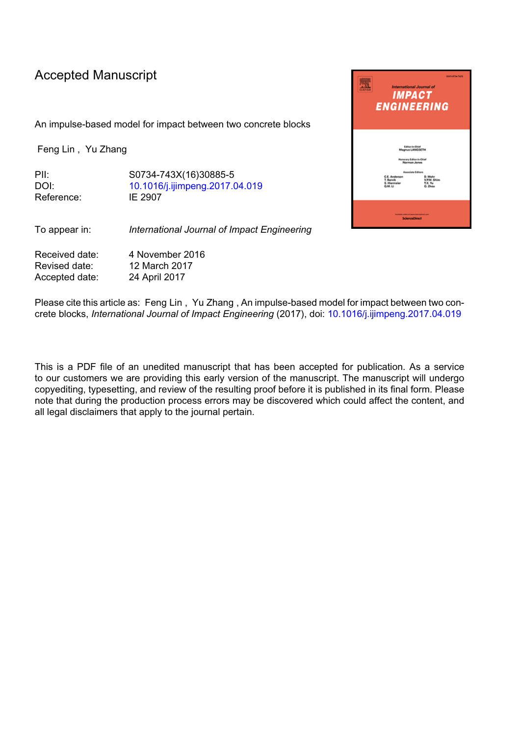## Accepted Manuscript

An impulse-based model for impact between two concrete blocks

Feng Lin , Yu Zhang

PII: S0734-743X(16)30885-5 DOI: [10.1016/j.ijimpeng.2017.04.019](http://dx.doi.org/10.1016/j.ijimpeng.2017.04.019) Reference: IE 2907

To appear in: *International Journal of Impact Engineering*

Received date: 4 November 2016 Revised date: 12 March 2017 Accepted date: 24 April 2017



Please cite this article as: Feng Lin , Yu Zhang , An impulse-based model for impact between two concrete blocks, *International Journal of Impact Engineering* (2017), doi: [10.1016/j.ijimpeng.2017.04.019](http://dx.doi.org/10.1016/j.ijimpeng.2017.04.019)

This is a PDF file of an unedited manuscript that has been accepted for publication. As a service to our customers we are providing this early version of the manuscript. The manuscript will undergo copyediting, typesetting, and review of the resulting proof before it is published in its final form. Please note that during the production process errors may be discovered which could affect the content, and all legal disclaimers that apply to the journal pertain.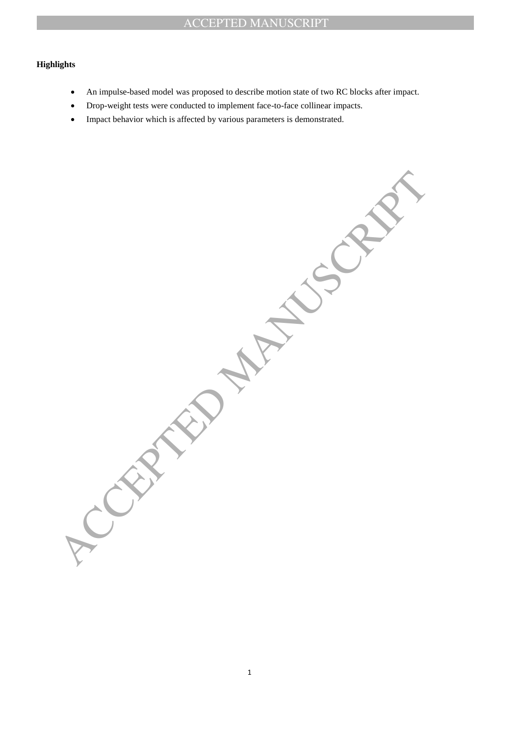## ACCEPTED MANUSCRIPT

## **Highlights**

- An impulse-based model was proposed to describe motion state of two RC blocks after impact.
- Drop-weight tests were conducted to implement face-to-face collinear impacts.
- Impact behavior which is affected by various parameters is demonstrated.

ACCEPTED MANUSCRIPT

1